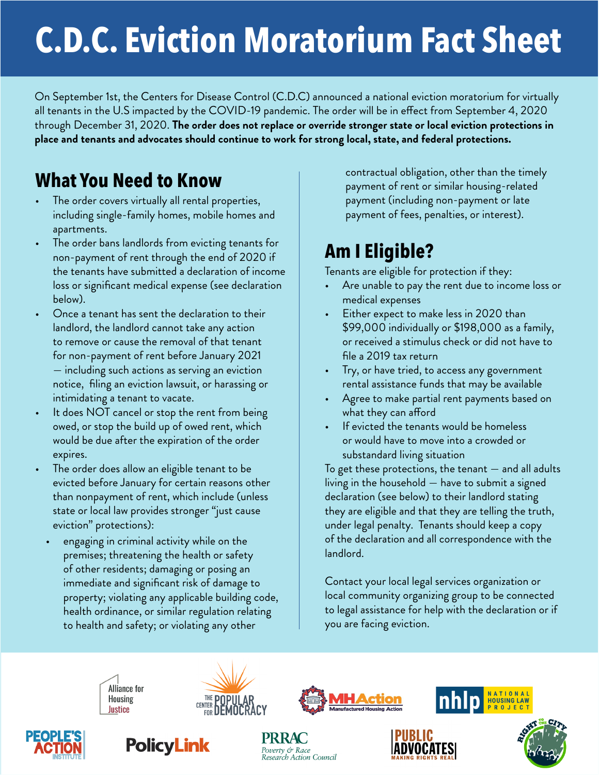## **C.D.C. Eviction Moratorium Fact Sheet**

On September 1st, the Centers for Disease Control (C.D.C) announced a national eviction moratorium for virtually all tenants in the U.S impacted by the COVID-19 pandemic. The order will be in effect from September 4, 2020 through December 31, 2020. **The order does not replace or override stronger state or local eviction protections in place and tenants and advocates should continue to work for strong local, state, and federal protections.**

## **What You Need to Know**

- The order covers virtually all rental properties, including single-family homes, mobile homes and apartments.
- The order bans landlords from evicting tenants for non-payment of rent through the end of 2020 if the tenants have submitted a declaration of income loss or significant medical expense (see declaration below).
- Once a tenant has sent the declaration to their landlord, the landlord cannot take any action to remove or cause the removal of that tenant for non-payment of rent before January 2021 — including such actions as serving an eviction notice, filing an eviction lawsuit, or harassing or intimidating a tenant to vacate.
- It does NOT cancel or stop the rent from being owed, or stop the build up of owed rent, which would be due after the expiration of the order expires.
- The order does allow an eligible tenant to be evicted before January for certain reasons other than nonpayment of rent, which include (unless state or local law provides stronger "just cause eviction" protections):
- engaging in criminal activity while on the premises; threatening the health or safety of other residents; damaging or posing an immediate and significant risk of damage to property; violating any applicable building code, health ordinance, or similar regulation relating to health and safety; or violating any other

contractual obligation, other than the timely payment of rent or similar housing-related payment (including non-payment or late payment of fees, penalties, or interest).

## **Am I Eligible?**

Tenants are eligible for protection if they:

- Are unable to pay the rent due to income loss or medical expenses
- Either expect to make less in 2020 than \$99,000 individually or \$198,000 as a family, or received a stimulus check or did not have to file a 2019 tax return
- Try, or have tried, to access any government rental assistance funds that may be available
- Agree to make partial rent payments based on what they can afford
- If evicted the tenants would be homeless or would have to move into a crowded or substandard living situation

To get these protections, the tenant — and all adults living in the household — have to submit a signed declaration (see below) to their landlord stating they are eligible and that they are telling the truth, under legal penalty. Tenants should keep a copy of the declaration and all correspondence with the landlord.

Contact your local legal services organization or local community organizing group to be connected to legal assistance for help with the declaration or if you are facing eviction.

IADVOCATES







**NATIONAL**<br>HOUSING LAW